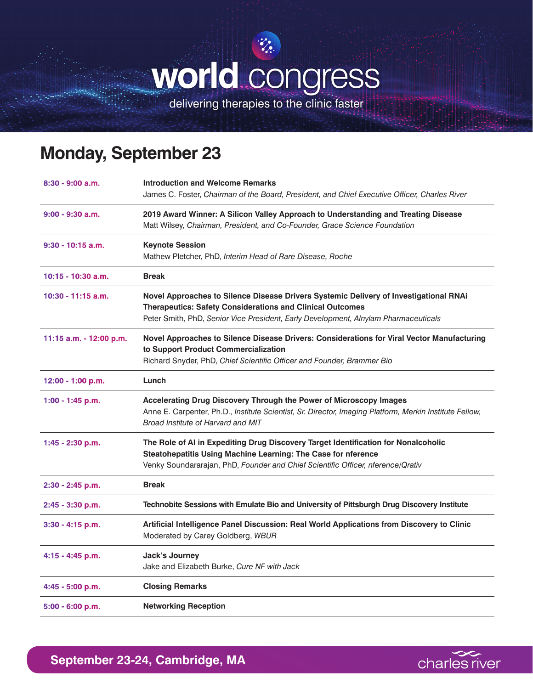## **world** congress

delivering therapies to the clinic faster

## **Monday, September 23**

| $8:30 - 9:00$ a.m.      | <b>Introduction and Welcome Remarks</b><br>James C. Foster, Chairman of the Board, President, and Chief Executive Officer, Charles River                                                                                                         |
|-------------------------|--------------------------------------------------------------------------------------------------------------------------------------------------------------------------------------------------------------------------------------------------|
| $9:00 - 9:30$ a.m.      | 2019 Award Winner: A Silicon Valley Approach to Understanding and Treating Disease<br>Matt Wilsey, Chairman, President, and Co-Founder, Grace Science Foundation                                                                                 |
| $9:30 - 10:15$ a.m.     | <b>Keynote Session</b><br>Mathew Pletcher, PhD, Interim Head of Rare Disease, Roche                                                                                                                                                              |
| 10:15 - 10:30 a.m.      | <b>Break</b>                                                                                                                                                                                                                                     |
| $10:30 - 11:15$ a.m.    | Novel Approaches to Silence Disease Drivers Systemic Delivery of Investigational RNAi<br><b>Therapeutics: Safety Considerations and Clinical Outcomes</b><br>Peter Smith, PhD, Senior Vice President, Early Development, Alnylam Pharmaceuticals |
| 11:15 a.m. - 12:00 p.m. | Novel Approaches to Silence Disease Drivers: Considerations for Viral Vector Manufacturing<br>to Support Product Commercialization<br>Richard Snyder, PhD, Chief Scientific Officer and Founder, Brammer Bio                                     |
| $12:00 - 1:00 p.m.$     | Lunch                                                                                                                                                                                                                                            |
| 1:00 - 1:45 p.m.        | Accelerating Drug Discovery Through the Power of Microscopy Images<br>Anne E. Carpenter, Ph.D., Institute Scientist, Sr. Director, Imaging Platform, Merkin Institute Fellow,<br>Broad Institute of Harvard and MIT                              |
| $1:45 - 2:30$ p.m.      | The Role of AI in Expediting Drug Discovery Target Identification for Nonalcoholic<br>Steatohepatitis Using Machine Learning: The Case for nference<br>Venky Soundararajan, PhD, Founder and Chief Scientific Officer, nference/Qrativ           |
| 2:30 - 2:45 p.m.        | <b>Break</b>                                                                                                                                                                                                                                     |
| 2:45 - 3:30 p.m.        | Technobite Sessions with Emulate Bio and University of Pittsburgh Drug Discovery Institute                                                                                                                                                       |
| $3:30 - 4:15$ p.m.      | Artificial Intelligence Panel Discussion: Real World Applications from Discovery to Clinic<br>Moderated by Carey Goldberg, WBUR                                                                                                                  |
| 4:15 - 4:45 p.m.        | Jack's Journey<br>Jake and Elizabeth Burke, Cure NF with Jack                                                                                                                                                                                    |
| $4:45 - 5:00$ p.m.      | <b>Closing Remarks</b>                                                                                                                                                                                                                           |
| 5:00 - 6:00 p.m.        | <b>Networking Reception</b>                                                                                                                                                                                                                      |